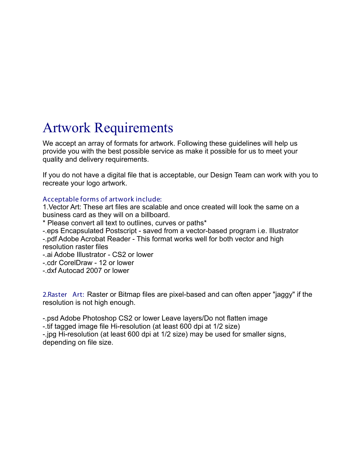# Artwork Requirements

We accept an array of formats for artwork. Following these guidelines will help us provide you with the best possible service as make it possible for us to meet your quality and delivery requirements.

If you do not have a digital file that is acceptable, our Design Team can work with you to recreate your logo artwork.

## **Acceptable forms of artwork include:**

1.Vector Art: These art files are scalable and once created will look the same on a business card as they will on a billboard.

\* Please convert all text to outlines, curves or paths\*

-.eps Encapsulated Postscript - saved from a vector-based program i.e. Illustrator

-.pdf Adobe Acrobat Reader - This format works well for both vector and high resolution raster files

-.ai Adobe Illustrator - CS2 or lower

-.cdr CorelDraw - 12 or lower

-.dxf Autocad 2007 or lower

2.Raster Art: Raster or Bitmap files are pixel-based and can often apper "jaggy" if the resolution is not high enough.

-.psd Adobe Photoshop CS2 or lower Leave layers/Do not flatten image

-.tif tagged image file Hi-resolution (at least 600 dpi at 1/2 size)

-.jpg Hi-resolution (at least 600 dpi at 1/2 size) may be used for smaller signs, depending on file size.